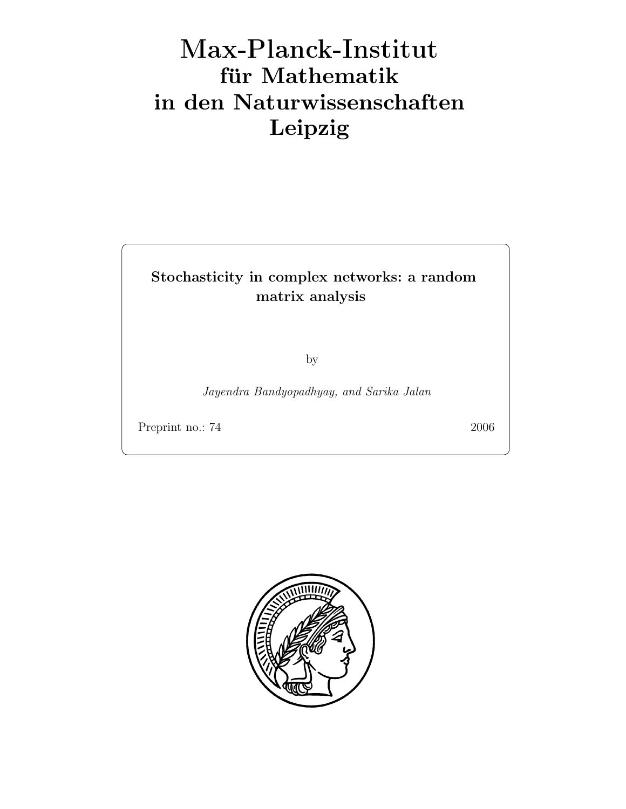## Max-Plan
k-Institut für Mathematik in den Naturwissenschaften Leipzig

## Stochasticity in complex networks: a random matrix analysis

by

Jayendra Bandyopadhyay, and Sarika Jalan

Preprint no.: 74 2006

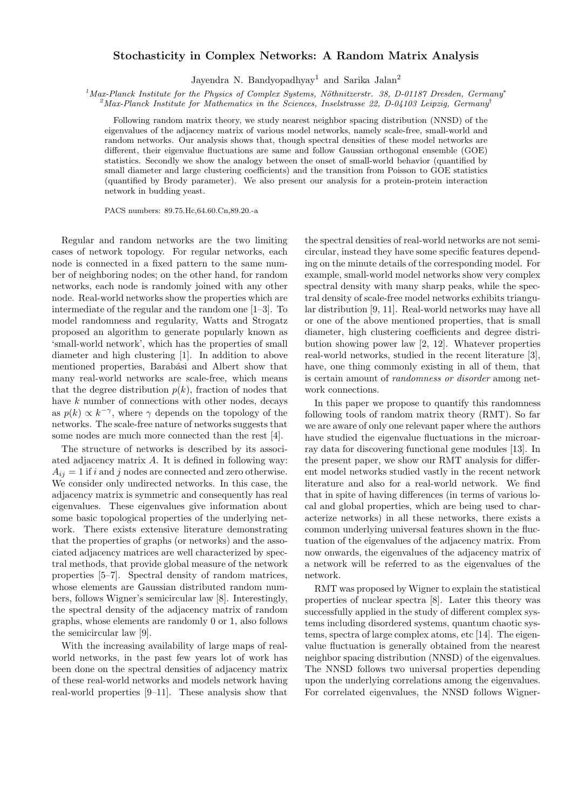## Stochasticity in Complex Networks: A Random Matrix Analysis

Jayendra N. Bandyopadhyay<sup>1</sup> and Sarika Jalan<sup>2</sup>

 $1$ Max-Planck Institute for the Physics of Complex Systems, Nöthnitzerstr. 38, D-01187 Dresden, Germany<sup>\*</sup>

 $^{2}$ Max-Planck Institute for Mathematics in the Sciences, Inselstrasse 22, D-04103 Leipzig, Germany<sup>†</sup>

Following random matrix theory, we study nearest neighbor spacing distribution (NNSD) of the eigenvalues of the adjacency matrix of various model networks, namely scale-free, small-world and random networks. Our analysis shows that, though spectral densities of these model networks are different, their eigenvalue fluctuations are same and follow Gaussian orthogonal ensemble (GOE) statistics. Secondly we show the analogy between the onset of small-world behavior (quantified by small diameter and large clustering coefficients) and the transition from Poisson to GOE statistics (quantified by Brody parameter). We also present our analysis for a protein-protein interaction network in budding yeast.

PACS numbers: 89.75.Hc,64.60.Cn,89.20.-a

Regular and random networks are the two limiting cases of network topology. For regular networks, each node is connected in a fixed pattern to the same number of neighboring nodes; on the other hand, for random networks, each node is randomly joined with any other node. Real-world networks show the properties which are intermediate of the regular and the random one [1–3]. To model randomness and regularity, Watts and Strogatz proposed an algorithm to generate popularly known as 'small-world network', which has the properties of small diameter and high clustering [1]. In addition to above mentioned properties, Barabási and Albert show that many real-world networks are scale-free, which means that the degree distribution  $p(k)$ , fraction of nodes that have k number of connections with other nodes, decays as  $p(k) \propto k^{-\gamma}$ , where  $\gamma$  depends on the topology of the networks. The scale-free nature of networks suggests that some nodes are much more connected than the rest [4].

The structure of networks is described by its associated adjacency matrix A. It is defined in following way:  $A_{ij} = 1$  if i and j nodes are connected and zero otherwise. We consider only undirected networks. In this case, the adjacency matrix is symmetric and consequently has real eigenvalues. These eigenvalues give information about some basic topological properties of the underlying network. There exists extensive literature demonstrating that the properties of graphs (or networks) and the associated adjacency matrices are well characterized by spectral methods, that provide global measure of the network properties [5–7]. Spectral density of random matrices, whose elements are Gaussian distributed random numbers, follows Wigner's semicircular law [8]. Interestingly, the spectral density of the adjacency matrix of random graphs, whose elements are randomly 0 or 1, also follows the semicircular law [9].

With the increasing availability of large maps of realworld networks, in the past few years lot of work has been done on the spectral densities of adjacency matrix of these real-world networks and models network having real-world properties [9–11]. These analysis show that the spectral densities of real-world networks are not semicircular, instead they have some specific features depending on the minute details of the corresponding model. For example, small-world model networks show very complex spectral density with many sharp peaks, while the spectral density of scale-free model networks exhibits triangular distribution [9, 11]. Real-world networks may have all or one of the above mentioned properties, that is small diameter, high clustering coefficients and degree distribution showing power law [2, 12]. Whatever properties real-world networks, studied in the recent literature [3], have, one thing commonly existing in all of them, that is certain amount of randomness or disorder among network connections.

In this paper we propose to quantify this randomness following tools of random matrix theory (RMT). So far we are aware of only one relevant paper where the authors have studied the eigenvalue fluctuations in the microarray data for discovering functional gene modules [13]. In the present paper, we show our RMT analysis for different model networks studied vastly in the recent network literature and also for a real-world network. We find that in spite of having differences (in terms of various local and global properties, which are being used to characterize networks) in all these networks, there exists a common underlying universal features shown in the fluctuation of the eigenvalues of the adjacency matrix. From now onwards, the eigenvalues of the adjacency matrix of a network will be referred to as the eigenvalues of the network.

RMT was proposed by Wigner to explain the statistical properties of nuclear spectra [8]. Later this theory was successfully applied in the study of different complex systems including disordered systems, quantum chaotic systems, spectra of large complex atoms, etc [14]. The eigenvalue fluctuation is generally obtained from the nearest neighbor spacing distribution (NNSD) of the eigenvalues. The NNSD follows two universal properties depending upon the underlying correlations among the eigenvalues. For correlated eigenvalues, the NNSD follows Wigner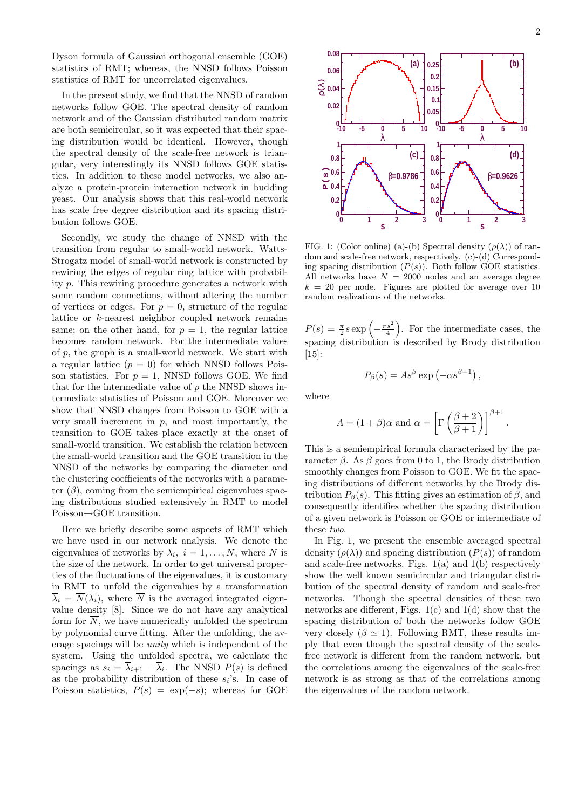Dyson formula of Gaussian orthogonal ensemble (GOE) statistics of RMT; whereas, the NNSD follows Poisson statistics of RMT for uncorrelated eigenvalues.

In the present study, we find that the NNSD of random networks follow GOE. The spectral density of random network and of the Gaussian distributed random matrix are both semicircular, so it was expected that their spacing distribution would be identical. However, though the spectral density of the scale-free network is triangular, very interestingly its NNSD follows GOE statistics. In addition to these model networks, we also analyze a protein-protein interaction network in budding yeast. Our analysis shows that this real-world network has scale free degree distribution and its spacing distribution follows GOE.

Secondly, we study the change of NNSD with the transition from regular to small-world network. Watts-Strogatz model of small-world network is constructed by rewiring the edges of regular ring lattice with probability p. This rewiring procedure generates a network with some random connections, without altering the number of vertices or edges. For  $p = 0$ , structure of the regular lattice or k-nearest neighbor coupled network remains same; on the other hand, for  $p = 1$ , the regular lattice becomes random network. For the intermediate values of p, the graph is a small-world network. We start with a regular lattice  $(p = 0)$  for which NNSD follows Poisson statistics. For  $p = 1$ , NNSD follows GOE. We find that for the intermediate value of  $p$  the NNSD shows intermediate statistics of Poisson and GOE. Moreover we show that NNSD changes from Poisson to GOE with a very small increment in  $p$ , and most importantly, the transition to GOE takes place exactly at the onset of small-world transition. We establish the relation between the small-world transition and the GOE transition in the NNSD of the networks by comparing the diameter and the clustering coefficients of the networks with a parameter  $(\beta)$ , coming from the semiempirical eigenvalues spacing distributions studied extensively in RMT to model Poisson→GOE transition.

Here we briefly describe some aspects of RMT which we have used in our network analysis. We denote the eigenvalues of networks by  $\lambda_i$ ,  $i = 1, \ldots, N$ , where N is the size of the network. In order to get universal properties of the fluctuations of the eigenvalues, it is customary in RMT to unfold the eigenvalues by a transformation  $\overline{\lambda}_i = \overline{N}(\lambda_i)$ , where  $\overline{N}$  is the averaged integrated eigenvalue density [8]. Since we do not have any analytical form for  $\overline{N}$ , we have numerically unfolded the spectrum by polynomial curve fitting. After the unfolding, the average spacings will be unity which is independent of the system. Using the unfolded spectra, we calculate the spacings as  $s_i = \overline{\lambda}_{i+1} - \overline{\lambda}_i$ . The NNSD  $P(s)$  is defined as the probability distribution of these  $s_i$ 's. In case of Poisson statistics,  $P(s) = \exp(-s)$ ; whereas for GOE



FIG. 1: (Color online) (a)-(b) Spectral density  $(\rho(\lambda))$  of random and scale-free network, respectively. (c)-(d) Corresponding spacing distribution  $(P(s))$ . Both follow GOE statistics. All networks have  $N = 2000$  nodes and an average degree  $k = 20$  per node. Figures are plotted for average over 10 random realizations of the networks.

 $P(s) = \frac{\pi}{2} s \exp\left(-\frac{\pi s^2}{4}\right)$ . For the intermediate cases, the spacing distribution is described by Brody distribution [15]:

$$
P_{\beta}(s) = A s^{\beta} \exp(-\alpha s^{\beta+1}),
$$

where

$$
A = (1 + \beta)\alpha \text{ and } \alpha = \left[\Gamma\left(\frac{\beta + 2}{\beta + 1}\right)\right]^{\beta + 1}
$$

.

This is a semiempirical formula characterized by the parameter  $\beta$ . As  $\beta$  goes from 0 to 1, the Brody distribution smoothly changes from Poisson to GOE. We fit the spacing distributions of different networks by the Brody distribution  $P_{\beta}(s)$ . This fitting gives an estimation of  $\beta$ , and consequently identifies whether the spacing distribution of a given network is Poisson or GOE or intermediate of these two.

In Fig. 1, we present the ensemble averaged spectral density  $(\rho(\lambda))$  and spacing distribution  $(P(s))$  of random and scale-free networks. Figs. 1(a) and 1(b) respectively show the well known semicircular and triangular distribution of the spectral density of random and scale-free networks. Though the spectral densities of these two networks are different, Figs.  $1(c)$  and  $1(d)$  show that the spacing distribution of both the networks follow GOE very closely  $(\beta \simeq 1)$ . Following RMT, these results imply that even though the spectral density of the scalefree network is different from the random network, but the correlations among the eigenvalues of the scale-free network is as strong as that of the correlations among the eigenvalues of the random network.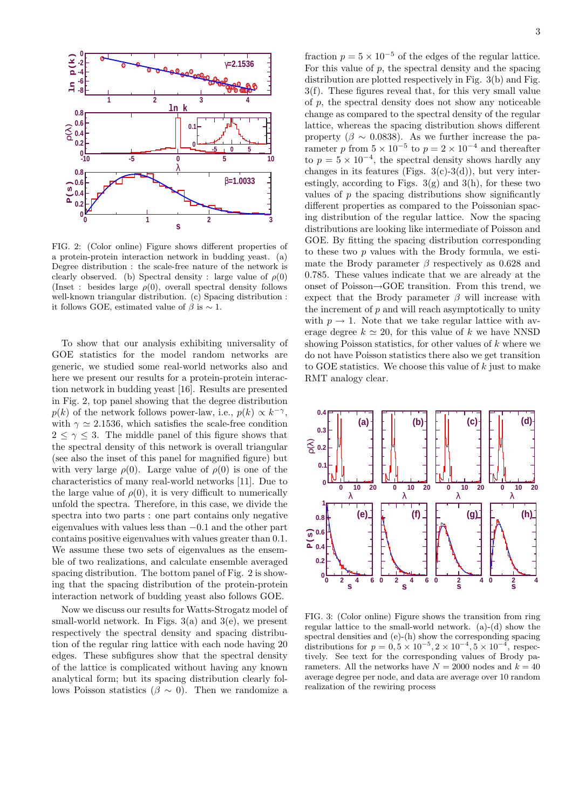

FIG. 2: (Color online) Figure shows different properties of a protein-protein interaction network in budding yeast. (a) Degree distribution : the scale-free nature of the network is clearly observed. (b) Spectral density : large value of  $\rho(0)$ (Inset : besides large  $\rho(0)$ , overall spectral density follows well-known triangular distribution. (c) Spacing distribution : it follows GOE, estimated value of  $\beta$  is  $\sim$  1.

To show that our analysis exhibiting universality of GOE statistics for the model random networks are generic, we studied some real-world networks also and here we present our results for a protein-protein interaction network in budding yeast [16]. Results are presented in Fig. 2, top panel showing that the degree distribution  $p(k)$  of the network follows power-law, i.e.,  $p(k) \propto k^{-\gamma}$ , with  $\gamma \simeq 2.1536$ , which satisfies the scale-free condition  $2 \leq \gamma \leq 3$ . The middle panel of this figure shows that the spectral density of this network is overall triangular (see also the inset of this panel for magnified figure) but with very large  $\rho(0)$ . Large value of  $\rho(0)$  is one of the characteristics of many real-world networks [11]. Due to the large value of  $\rho(0)$ , it is very difficult to numerically unfold the spectra. Therefore, in this case, we divide the spectra into two parts : one part contains only negative eigenvalues with values less than −0.1 and the other part contains positive eigenvalues with values greater than 0.1. We assume these two sets of eigenvalues as the ensemble of two realizations, and calculate ensemble averaged spacing distribution. The bottom panel of Fig. 2 is showing that the spacing distribution of the protein-protein interaction network of budding yeast also follows GOE.

Now we discuss our results for Watts-Strogatz model of small-world network. In Figs.  $3(a)$  and  $3(e)$ , we present respectively the spectral density and spacing distribution of the regular ring lattice with each node having 20 edges. These subfigures show that the spectral density of the lattice is complicated without having any known analytical form; but its spacing distribution clearly follows Poisson statistics ( $\beta \sim 0$ ). Then we randomize a

fraction  $p = 5 \times 10^{-5}$  of the edges of the regular lattice. For this value of  $p$ , the spectral density and the spacing distribution are plotted respectively in Fig. 3(b) and Fig. 3(f). These figures reveal that, for this very small value of p, the spectral density does not show any noticeable change as compared to the spectral density of the regular lattice, whereas the spacing distribution shows different property ( $\beta \sim 0.0838$ ). As we further increase the parameter p from  $5 \times 10^{-5}$  to  $p = 2 \times 10^{-4}$  and thereafter to  $p = 5 \times 10^{-4}$ , the spectral density shows hardly any changes in its features (Figs.  $3(c)-3(d)$ ), but very interestingly, according to Figs.  $3(g)$  and  $3(h)$ , for these two values of  $p$  the spacing distributions show significantly different properties as compared to the Poissonian spacing distribution of the regular lattice. Now the spacing distributions are looking like intermediate of Poisson and GOE. By fitting the spacing distribution corresponding to these two  $p$  values with the Brody formula, we estimate the Brody parameter  $\beta$  respectively as 0.628 and 0.785. These values indicate that we are already at the onset of Poisson→GOE transition. From this trend, we expect that the Brody parameter  $\beta$  will increase with the increment of  $p$  and will reach asymptotically to unity with  $p \to 1$ . Note that we take regular lattice with average degree  $k \approx 20$ , for this value of k we have NNSD showing Poisson statistics, for other values of  $k$  where we do not have Poisson statistics there also we get transition to GOE statistics. We choose this value of  $k$  just to make RMT analogy clear.



FIG. 3: (Color online) Figure shows the transition from ring regular lattice to the small-world network. (a)-(d) show the spectral densities and (e)-(h) show the corresponding spacing distributions for  $p = 0, 5 \times 10^{-5}, 2 \times 10^{-4}, 5 \times 10^{-4}$  $^4$ , respectively. See text for the corresponding values of Brody parameters. All the networks have  $N = 2000$  nodes and  $k = 40$ average degree per node, and data are average over 10 random realization of the rewiring process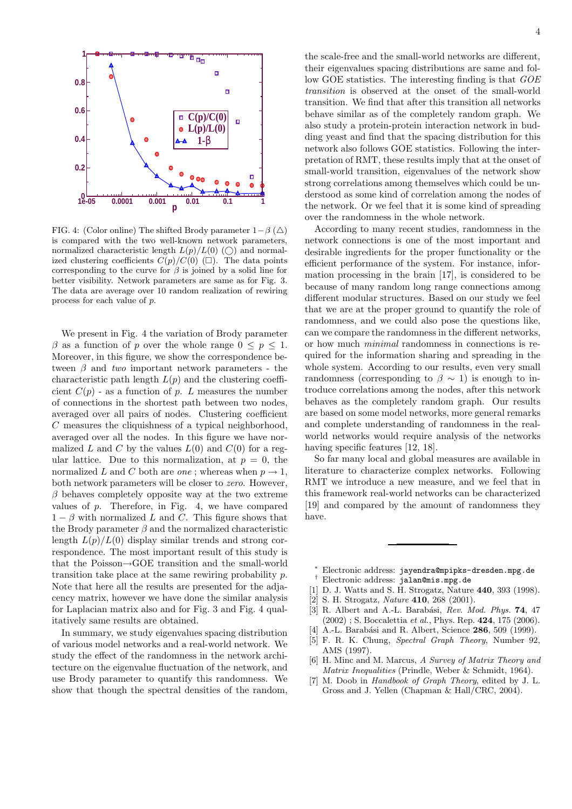

FIG. 4: (Color online) The shifted Brody parameter  $1-\beta$  ( $\triangle$ ) is compared with the two well-known network parameters, normalized characteristic length  $L(p)/L(0)$  (()) and normalized clustering coefficients  $C(p)/C(0)$  ( $\square$ ). The data points corresponding to the curve for  $\beta$  is joined by a solid line for better visibility. Network parameters are same as for Fig. 3. The data are average over 10 random realization of rewiring process for each value of p.

We present in Fig. 4 the variation of Brody parameter  $\beta$  as a function of p over the whole range  $0 \leq p \leq 1$ . Moreover, in this figure, we show the correspondence between  $\beta$  and two important network parameters - the characteristic path length  $L(p)$  and the clustering coefficient  $C(p)$  - as a function of p. L measures the number of connections in the shortest path between two nodes, averaged over all pairs of nodes. Clustering coefficient C measures the cliquishness of a typical neighborhood, averaged over all the nodes. In this figure we have normalized L and C by the values  $L(0)$  and  $C(0)$  for a regular lattice. Due to this normalization, at  $p = 0$ , the normalized L and C both are *one*; whereas when  $p \rightarrow 1$ , both network parameters will be closer to zero. However,  $\beta$  behaves completely opposite way at the two extreme values of  $p$ . Therefore, in Fig. 4, we have compared  $1 - \beta$  with normalized L and C. This figure shows that the Brody parameter  $\beta$  and the normalized characteristic length  $L(p)/L(0)$  display similar trends and strong correspondence. The most important result of this study is that the Poisson→GOE transition and the small-world transition take place at the same rewiring probability p. Note that here all the results are presented for the adjacency matrix, however we have done the similar analysis for Laplacian matrix also and for Fig. 3 and Fig. 4 qualitatively same results are obtained.

In summary, we study eigenvalues spacing distribution of various model networks and a real-world network. We study the effect of the randomness in the network architecture on the eigenvalue fluctuation of the network, and use Brody parameter to quantify this randomness. We show that though the spectral densities of the random, 4

their eigenvalues spacing distributions are same and follow GOE statistics. The interesting finding is that GOE transition is observed at the onset of the small-world transition. We find that after this transition all networks behave similar as of the completely random graph. We also study a protein-protein interaction network in budding yeast and find that the spacing distribution for this network also follows GOE statistics. Following the interpretation of RMT, these results imply that at the onset of small-world transition, eigenvalues of the network show strong correlations among themselves which could be understood as some kind of correlation among the nodes of the network. Or we feel that it is some kind of spreading over the randomness in the whole network.

According to many recent studies, randomness in the network connections is one of the most important and desirable ingredients for the proper functionality or the efficient performance of the system. For instance, information processing in the brain [17], is considered to be because of many random long range connections among different modular structures. Based on our study we feel that we are at the proper ground to quantify the role of randomness, and we could also pose the questions like, can we compare the randomness in the different networks, or how much minimal randomness in connections is required for the information sharing and spreading in the whole system. According to our results, even very small randomness (corresponding to  $\beta \sim 1$ ) is enough to introduce correlations among the nodes, after this network behaves as the completely random graph. Our results are based on some model networks, more general remarks and complete understanding of randomness in the realworld networks would require analysis of the networks having specific features [12, 18].

So far many local and global measures are available in literature to characterize complex networks. Following RMT we introduce a new measure, and we feel that in this framework real-world networks can be characterized [19] and compared by the amount of randomness they have.

- <sup>∗</sup> Electronic address: jayendra@mpipks-dresden.mpg.de
- † Electronic address: jalan@mis.mpg.de
- [1] D. J. Watts and S. H. Strogatz, Nature 440, 393 (1998).
- [2] S. H. Strogatz, *Nature* **410**, 268 (2001).
- [3] R. Albert and A.-L. Barabási, Rev. Mod. Phys.  $74$ , 47  $(2002)$ ; S. Boccalettia *et al.*, Phys. Rep. **424**, 175 (2006).
- A.-L. Barabási and R. Albert, Science 286, 509 (1999).
- [5] F. R. K. Chung, Spectral Graph Theory, Number 92, AMS (1997).
- [6] H. Minc and M. Marcus, A Survey of Matrix Theory and Matrix Inequalities (Prindle, Weber & Schmidt, 1964).
- [7] M. Doob in Handbook of Graph Theory, edited by J. L. Gross and J. Yellen (Chapman & Hall/CRC, 2004).